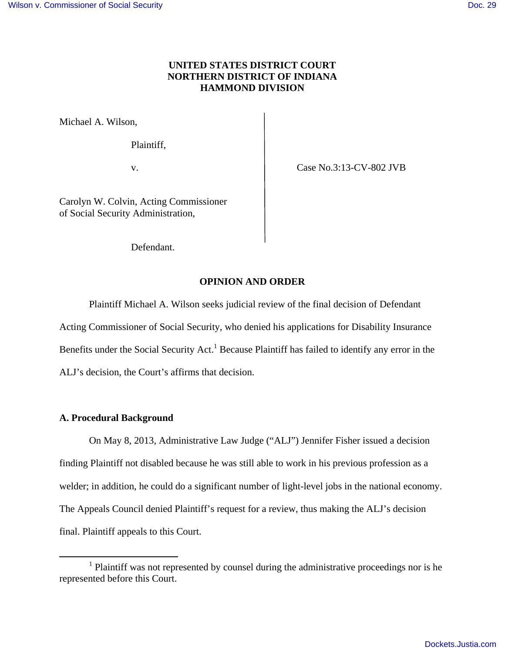# **UNITED STATES DISTRICT COURT NORTHERN DISTRICT OF INDIANA HAMMOND DIVISION**

Michael A. Wilson,

Plaintiff,

v. **Case No.3:13-CV-802 JVB** 

Carolyn W. Colvin, Acting Commissioner of Social Security Administration,

Defendant.

# **OPINION AND ORDER**

Plaintiff Michael A. Wilson seeks judicial review of the final decision of Defendant

Acting Commissioner of Social Security, who denied his applications for Disability Insurance

Benefits under the Social Security Act.<sup>1</sup> Because Plaintiff has failed to identify any error in the

ALJ's decision, the Court's affirms that decision.

## **A. Procedural Background**

 $\overline{a}$ 

On May 8, 2013, Administrative Law Judge ("ALJ") Jennifer Fisher issued a decision finding Plaintiff not disabled because he was still able to work in his previous profession as a welder; in addition, he could do a significant number of light-level jobs in the national economy. The Appeals Council denied Plaintiff's request for a review, thus making the ALJ's decision final. Plaintiff appeals to this Court.

<sup>&</sup>lt;sup>1</sup> Plaintiff was not represented by counsel during the administrative proceedings nor is he represented before this Court.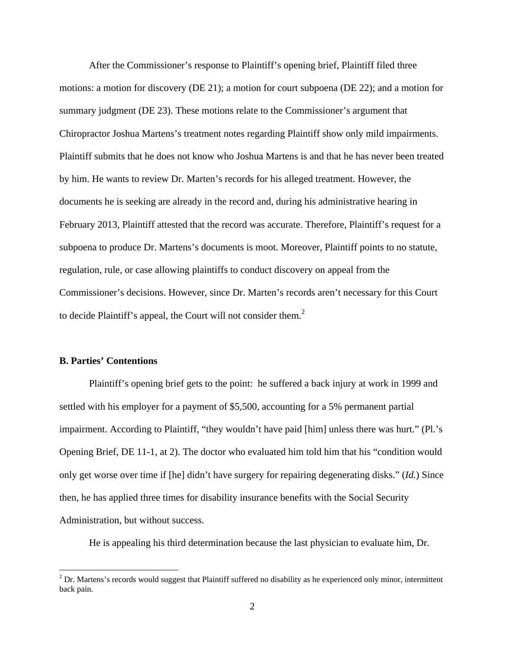After the Commissioner's response to Plaintiff's opening brief, Plaintiff filed three motions: a motion for discovery (DE 21); a motion for court subpoena (DE 22); and a motion for summary judgment (DE 23). These motions relate to the Commissioner's argument that Chiropractor Joshua Martens's treatment notes regarding Plaintiff show only mild impairments. Plaintiff submits that he does not know who Joshua Martens is and that he has never been treated by him. He wants to review Dr. Marten's records for his alleged treatment. However, the documents he is seeking are already in the record and, during his administrative hearing in February 2013, Plaintiff attested that the record was accurate. Therefore, Plaintiff's request for a subpoena to produce Dr. Martens's documents is moot. Moreover, Plaintiff points to no statute, regulation, rule, or case allowing plaintiffs to conduct discovery on appeal from the Commissioner's decisions. However, since Dr. Marten's records aren't necessary for this Court to decide Plaintiff's appeal, the Court will not consider them. $<sup>2</sup>$ </sup>

## **B. Parties' Contentions**

Plaintiff's opening brief gets to the point: he suffered a back injury at work in 1999 and settled with his employer for a payment of \$5,500, accounting for a 5% permanent partial impairment. According to Plaintiff, "they wouldn't have paid [him] unless there was hurt." (Pl.'s Opening Brief, DE 11-1, at 2). The doctor who evaluated him told him that his "condition would only get worse over time if [he] didn't have surgery for repairing degenerating disks." (*Id.*) Since then, he has applied three times for disability insurance benefits with the Social Security Administration, but without success.

He is appealing his third determination because the last physician to evaluate him, Dr.

<sup>&</sup>lt;sup>2</sup> Dr. Martens's records would suggest that Plaintiff suffered no disability as he experienced only minor, intermittent back pain.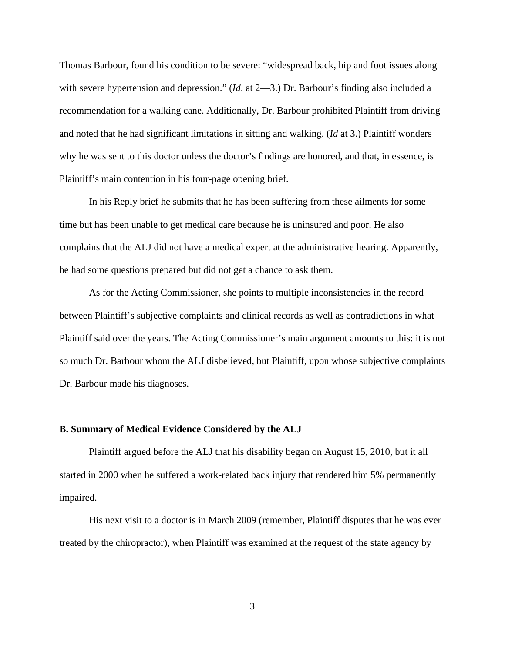Thomas Barbour, found his condition to be severe: "widespread back, hip and foot issues along with severe hypertension and depression." (*Id*. at 2—3.) Dr. Barbour's finding also included a recommendation for a walking cane. Additionally, Dr. Barbour prohibited Plaintiff from driving and noted that he had significant limitations in sitting and walking. (*Id* at 3.) Plaintiff wonders why he was sent to this doctor unless the doctor's findings are honored, and that, in essence, is Plaintiff's main contention in his four-page opening brief.

In his Reply brief he submits that he has been suffering from these ailments for some time but has been unable to get medical care because he is uninsured and poor. He also complains that the ALJ did not have a medical expert at the administrative hearing. Apparently, he had some questions prepared but did not get a chance to ask them.

As for the Acting Commissioner, she points to multiple inconsistencies in the record between Plaintiff's subjective complaints and clinical records as well as contradictions in what Plaintiff said over the years. The Acting Commissioner's main argument amounts to this: it is not so much Dr. Barbour whom the ALJ disbelieved, but Plaintiff, upon whose subjective complaints Dr. Barbour made his diagnoses.

#### **B. Summary of Medical Evidence Considered by the ALJ**

 Plaintiff argued before the ALJ that his disability began on August 15, 2010, but it all started in 2000 when he suffered a work-related back injury that rendered him 5% permanently impaired.

 His next visit to a doctor is in March 2009 (remember, Plaintiff disputes that he was ever treated by the chiropractor), when Plaintiff was examined at the request of the state agency by

3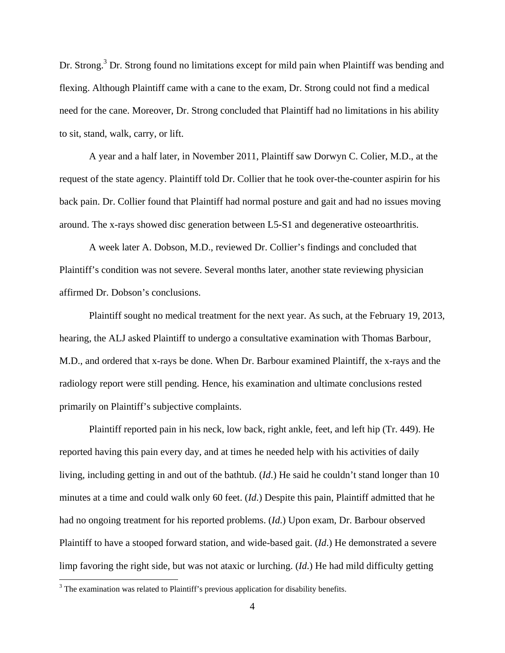Dr. Strong.<sup>3</sup> Dr. Strong found no limitations except for mild pain when Plaintiff was bending and flexing. Although Plaintiff came with a cane to the exam, Dr. Strong could not find a medical need for the cane. Moreover, Dr. Strong concluded that Plaintiff had no limitations in his ability to sit, stand, walk, carry, or lift.

 A year and a half later, in November 2011, Plaintiff saw Dorwyn C. Colier, M.D., at the request of the state agency. Plaintiff told Dr. Collier that he took over-the-counter aspirin for his back pain. Dr. Collier found that Plaintiff had normal posture and gait and had no issues moving around. The x-rays showed disc generation between L5-S1 and degenerative osteoarthritis.

 A week later A. Dobson, M.D., reviewed Dr. Collier's findings and concluded that Plaintiff's condition was not severe. Several months later, another state reviewing physician affirmed Dr. Dobson's conclusions.

 Plaintiff sought no medical treatment for the next year. As such, at the February 19, 2013, hearing, the ALJ asked Plaintiff to undergo a consultative examination with Thomas Barbour, M.D., and ordered that x-rays be done. When Dr. Barbour examined Plaintiff, the x-rays and the radiology report were still pending. Hence, his examination and ultimate conclusions rested primarily on Plaintiff's subjective complaints.

 Plaintiff reported pain in his neck, low back, right ankle, feet, and left hip (Tr. 449). He reported having this pain every day, and at times he needed help with his activities of daily living, including getting in and out of the bathtub. (*Id*.) He said he couldn't stand longer than 10 minutes at a time and could walk only 60 feet. (*Id*.) Despite this pain, Plaintiff admitted that he had no ongoing treatment for his reported problems. (*Id*.) Upon exam, Dr. Barbour observed Plaintiff to have a stooped forward station, and wide-based gait. (*Id*.) He demonstrated a severe limp favoring the right side, but was not ataxic or lurching. (*Id*.) He had mild difficulty getting

<u>.</u>

 $3$  The examination was related to Plaintiff's previous application for disability benefits.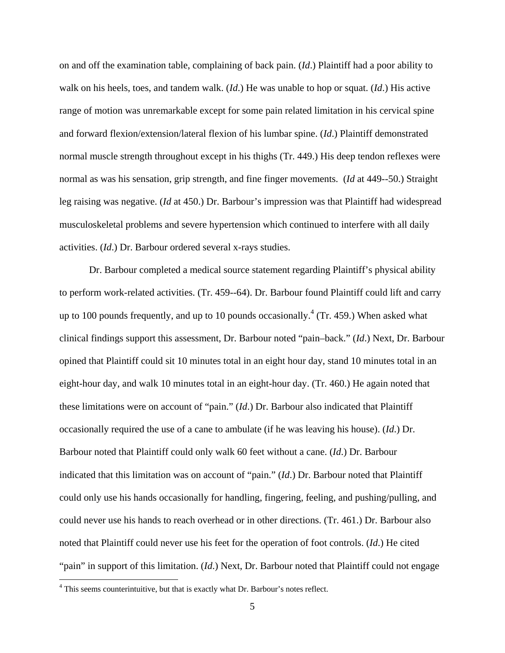on and off the examination table, complaining of back pain. (*Id*.) Plaintiff had a poor ability to walk on his heels, toes, and tandem walk. (*Id*.) He was unable to hop or squat. (*Id*.) His active range of motion was unremarkable except for some pain related limitation in his cervical spine and forward flexion/extension/lateral flexion of his lumbar spine. (*Id*.) Plaintiff demonstrated normal muscle strength throughout except in his thighs (Tr. 449.) His deep tendon reflexes were normal as was his sensation, grip strength, and fine finger movements. (*Id* at 449--50.) Straight leg raising was negative. (*Id* at 450.) Dr. Barbour's impression was that Plaintiff had widespread musculoskeletal problems and severe hypertension which continued to interfere with all daily activities. (*Id*.) Dr. Barbour ordered several x-rays studies.

Dr. Barbour completed a medical source statement regarding Plaintiff's physical ability to perform work-related activities. (Tr. 459--64). Dr. Barbour found Plaintiff could lift and carry up to 100 pounds frequently, and up to 10 pounds occasionally.<sup>4</sup> (Tr. 459.) When asked what clinical findings support this assessment, Dr. Barbour noted "pain–back." (*Id*.) Next, Dr. Barbour opined that Plaintiff could sit 10 minutes total in an eight hour day, stand 10 minutes total in an eight-hour day, and walk 10 minutes total in an eight-hour day. (Tr. 460.) He again noted that these limitations were on account of "pain." (*Id*.) Dr. Barbour also indicated that Plaintiff occasionally required the use of a cane to ambulate (if he was leaving his house). (*Id*.) Dr. Barbour noted that Plaintiff could only walk 60 feet without a cane. (*Id*.) Dr. Barbour indicated that this limitation was on account of "pain." (*Id*.) Dr. Barbour noted that Plaintiff could only use his hands occasionally for handling, fingering, feeling, and pushing/pulling, and could never use his hands to reach overhead or in other directions. (Tr. 461.) Dr. Barbour also noted that Plaintiff could never use his feet for the operation of foot controls. (*Id*.) He cited "pain" in support of this limitation. (*Id*.) Next, Dr. Barbour noted that Plaintiff could not engage

 $\overline{a}$ 

<sup>&</sup>lt;sup>4</sup> This seems counterintuitive, but that is exactly what Dr. Barbour's notes reflect.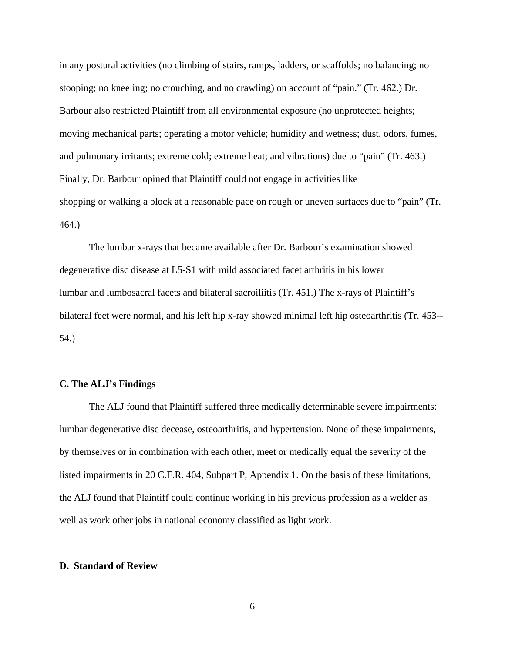in any postural activities (no climbing of stairs, ramps, ladders, or scaffolds; no balancing; no stooping; no kneeling; no crouching, and no crawling) on account of "pain." (Tr. 462.) Dr. Barbour also restricted Plaintiff from all environmental exposure (no unprotected heights; moving mechanical parts; operating a motor vehicle; humidity and wetness; dust, odors, fumes, and pulmonary irritants; extreme cold; extreme heat; and vibrations) due to "pain" (Tr. 463.) Finally, Dr. Barbour opined that Plaintiff could not engage in activities like shopping or walking a block at a reasonable pace on rough or uneven surfaces due to "pain" (Tr. 464.)

The lumbar x-rays that became available after Dr. Barbour's examination showed degenerative disc disease at L5-S1 with mild associated facet arthritis in his lower lumbar and lumbosacral facets and bilateral sacroiliitis (Tr. 451.) The x-rays of Plaintiff's bilateral feet were normal, and his left hip x-ray showed minimal left hip osteoarthritis (Tr. 453-- 54.)

## **C. The ALJ's Findings**

 The ALJ found that Plaintiff suffered three medically determinable severe impairments: lumbar degenerative disc decease, osteoarthritis, and hypertension. None of these impairments, by themselves or in combination with each other, meet or medically equal the severity of the listed impairments in 20 C.F.R. 404, Subpart P, Appendix 1. On the basis of these limitations, the ALJ found that Plaintiff could continue working in his previous profession as a welder as well as work other jobs in national economy classified as light work.

#### **D. Standard of Review**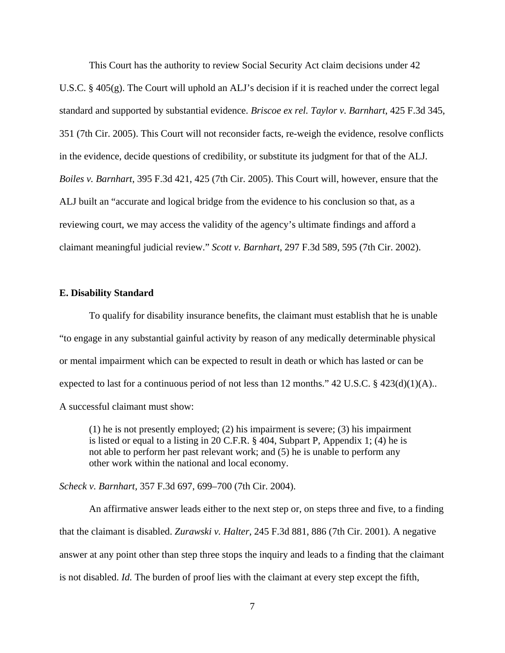This Court has the authority to review Social Security Act claim decisions under 42 U.S.C.  $\S$  405(g). The Court will uphold an ALJ's decision if it is reached under the correct legal standard and supported by substantial evidence. *Briscoe ex rel. Taylor v. Barnhart*, 425 F.3d 345, 351 (7th Cir. 2005). This Court will not reconsider facts, re-weigh the evidence, resolve conflicts in the evidence, decide questions of credibility, or substitute its judgment for that of the ALJ. *Boiles v. Barnhart*, 395 F.3d 421, 425 (7th Cir. 2005). This Court will, however, ensure that the ALJ built an "accurate and logical bridge from the evidence to his conclusion so that, as a reviewing court, we may access the validity of the agency's ultimate findings and afford a claimant meaningful judicial review." *Scott v. Barnhart*, 297 F.3d 589, 595 (7th Cir. 2002).

#### **E. Disability Standard**

 To qualify for disability insurance benefits, the claimant must establish that he is unable "to engage in any substantial gainful activity by reason of any medically determinable physical or mental impairment which can be expected to result in death or which has lasted or can be expected to last for a continuous period of not less than 12 months." 42 U.S.C. § 423(d)(1)(A).. A successful claimant must show:

(1) he is not presently employed; (2) his impairment is severe; (3) his impairment is listed or equal to a listing in 20 C.F.R. § 404, Subpart P, Appendix 1; (4) he is not able to perform her past relevant work; and (5) he is unable to perform any other work within the national and local economy.

*Scheck v. Barnhart,* 357 F.3d 697, 699–700 (7th Cir. 2004).

An affirmative answer leads either to the next step or, on steps three and five, to a finding that the claimant is disabled. *Zurawski v. Halter,* 245 F.3d 881, 886 (7th Cir. 2001). A negative answer at any point other than step three stops the inquiry and leads to a finding that the claimant is not disabled. *Id.* The burden of proof lies with the claimant at every step except the fifth,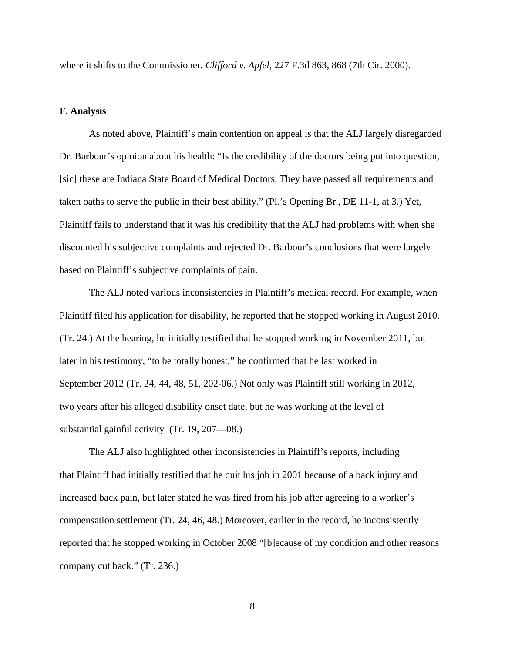where it shifts to the Commissioner. *Clifford v. Apfel,* 227 F.3d 863, 868 (7th Cir. 2000).

## **F. Analysis**

 As noted above, Plaintiff's main contention on appeal is that the ALJ largely disregarded Dr. Barbour's opinion about his health: "Is the credibility of the doctors being put into question, [sic] these are Indiana State Board of Medical Doctors. They have passed all requirements and taken oaths to serve the public in their best ability." (Pl.'s Opening Br., DE 11-1, at 3.) Yet, Plaintiff fails to understand that it was his credibility that the ALJ had problems with when she discounted his subjective complaints and rejected Dr. Barbour's conclusions that were largely based on Plaintiff's subjective complaints of pain.

 The ALJ noted various inconsistencies in Plaintiff's medical record. For example, when Plaintiff filed his application for disability, he reported that he stopped working in August 2010. (Tr. 24.) At the hearing, he initially testified that he stopped working in November 2011, but later in his testimony, "to be totally honest," he confirmed that he last worked in September 2012 (Tr. 24, 44, 48, 51, 202-06.) Not only was Plaintiff still working in 2012, two years after his alleged disability onset date, but he was working at the level of substantial gainful activity (Tr. 19, 207—08.)

The ALJ also highlighted other inconsistencies in Plaintiff's reports, including that Plaintiff had initially testified that he quit his job in 2001 because of a back injury and increased back pain, but later stated he was fired from his job after agreeing to a worker's compensation settlement (Tr. 24, 46, 48.) Moreover, earlier in the record, he inconsistently reported that he stopped working in October 2008 "[b]ecause of my condition and other reasons company cut back." (Tr. 236.)

8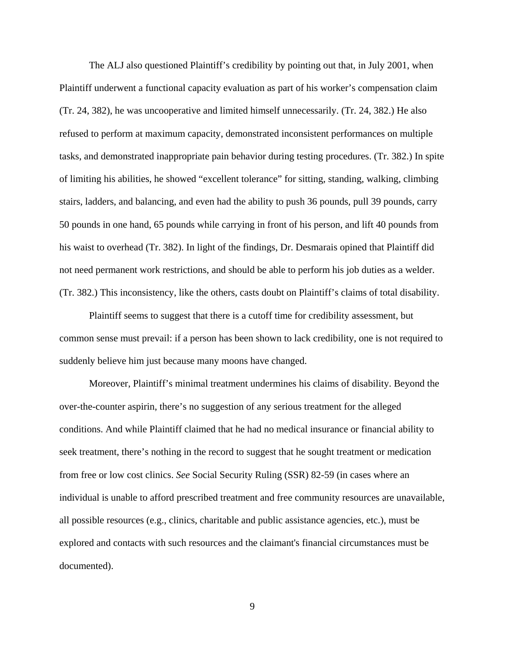The ALJ also questioned Plaintiff's credibility by pointing out that, in July 2001, when Plaintiff underwent a functional capacity evaluation as part of his worker's compensation claim (Tr. 24, 382), he was uncooperative and limited himself unnecessarily. (Tr. 24, 382.) He also refused to perform at maximum capacity, demonstrated inconsistent performances on multiple tasks, and demonstrated inappropriate pain behavior during testing procedures. (Tr. 382.) In spite of limiting his abilities, he showed "excellent tolerance" for sitting, standing, walking, climbing stairs, ladders, and balancing, and even had the ability to push 36 pounds, pull 39 pounds, carry 50 pounds in one hand, 65 pounds while carrying in front of his person, and lift 40 pounds from his waist to overhead (Tr. 382). In light of the findings, Dr. Desmarais opined that Plaintiff did not need permanent work restrictions, and should be able to perform his job duties as a welder. (Tr. 382.) This inconsistency, like the others, casts doubt on Plaintiff's claims of total disability.

Plaintiff seems to suggest that there is a cutoff time for credibility assessment, but common sense must prevail: if a person has been shown to lack credibility, one is not required to suddenly believe him just because many moons have changed.

Moreover, Plaintiff's minimal treatment undermines his claims of disability. Beyond the over-the-counter aspirin, there's no suggestion of any serious treatment for the alleged conditions. And while Plaintiff claimed that he had no medical insurance or financial ability to seek treatment, there's nothing in the record to suggest that he sought treatment or medication from free or low cost clinics. *See* Social Security Ruling (SSR) 82-59 (in cases where an individual is unable to afford prescribed treatment and free community resources are unavailable, all possible resources (e.g., clinics, charitable and public assistance agencies, etc.), must be explored and contacts with such resources and the claimant's financial circumstances must be documented).

9